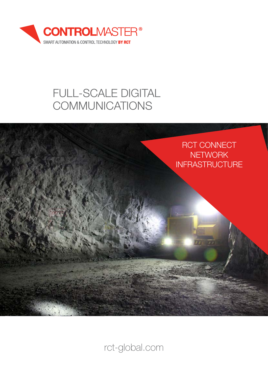

# FULL-SCALE DIGITAL **COMMUNICATIONS**



rct-global.com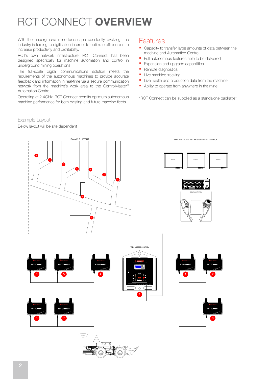# RCT CONNECT OVERVIEW

With the underground mine landscape constantly evolving, the industry is turning to digitisation in order to optimise efficiencies to increase productivity and profitability.

RCT's own network infrastructure, RCT Connect, has been designed specifically for machine automation and control in underground mining operations.

The full-scale digital communications solution meets the requirements of the autonomous machines to provide accurate feedback and information in real-time via a secure communication network from the machine's work area to the ControlMaster® Automation Centre.

Operating at 2.4GHz, RCT Connect permits optimum autonomous machine performance for both existing and future machine fleets.

#### Example Layout

Below layout will be site dependent

### Features

- Capacity to transfer large amounts of data between the machine and Automation Centre
- **Full autonomous features able to be delivered**
- **Expansion and upgrade capabilities**
- **Remote diagnostics**
- Live machine tracking
- **Live health and production data from the machine**
- Ability to operate from anywhere in the mine

\*RCT Connect can be supplied as a standalone package\*

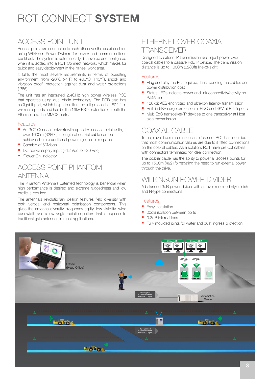# RCT CONNECT SYSTEM

## ACCESS POINT UNIT

Access points are connected to each other over the coaxial cables using Wilkinson Power Dividers for power and communications backhaul. The system is automatically discovered and configured when it is added into a RCT Connect network, which makes for quick and easy deployment in the mines' work area.

It fulfils the most severe requirements in terms of operating environment; from -20°C (-4°F) to +60°C (140°F), shock and vibration proof, protection against dust and water projections (IP66).

The unit has an integrated 2.4GHz high power wireless PCB that operates using dual chain technology. The PCB also has a Gigabit port, which helps to utilise the full potential of 802.11n wireless speeds and has built in 16kV ESD protection on both the Ethernet and the MMCX ports.

#### Features

- An RCT Connect network with up to ten access point units, over 1000m (3280ft) in length of coaxial cable can be achieved before additional power injection is required
- Capable of 60Mbps
- DC power supply input (+12 Vdc to +30 Vdc)
- **Power On' indicator**

## ACCESS POINT PHANTOM ANTENNA

The Phantom Antenna's patented technology is beneficial when high performance is desired and extreme ruggedness and low profile is required.

The antenna's revolutionary design features field diversity with both vertical and horizontal polarisation components. This gives the antenna diversity, frequency agility, low visibility, wide bandwidth and a low angle radiation pattern that is superior to traditional gain antennas in most applications.

### ETHERNET OVER COAXIAL **TRANSCEIVER**

Designed to extend IP transmission and inject power over coaxial cables to a passive PoE IP device. The transmission distance is up to 1000m (3280ft) line-of-sight.

#### Features

- Plug and play; no PC required, thus reducing the cables and power distribution cost
- Status LEDs indicate power and link connectivity/activity on RJ45 port
- 128-bit AES encrypted and ultra-low latency transmission
- Built-in 6KV surge protection at BNC and 4KV at RJ45 ports
- Multi EoC transceiver/IP devices to one transceiver at Host side transmission

## COAXIAL CABLE

To help avoid communications interference, RCT has identified that most communication failures are due to ill fitted connections on the coaxial cables. As a solution, RCT have pre-cut cables with connectors terminated for ideal connection.

The coaxial cable has the ability to power all access points for up to 1500m (4921ft) negating the need to run external power through the drive.

## WILKINSON POWER DIVIDER

A balanced 3dB power divider with an over-moulded style finish and N-type connections.

#### Features

- **Easy installation**
- 20dB isolation between ports
- 0.3dB internal loss
- Fully moulded joints for water and dust ingress protection